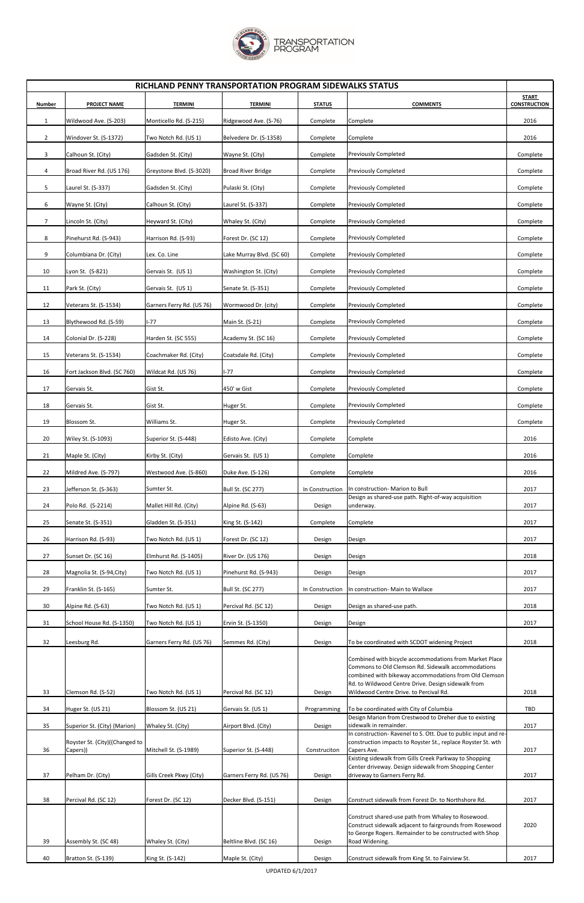UPDATED 6/1/2017



|                | RICHLAND PENNY TRANSPORTATION PROGRAM SIDEWALKS STATUS |                           |                           |                 |                                                                                                                                                                                                                             |                                     |  |  |  |  |
|----------------|--------------------------------------------------------|---------------------------|---------------------------|-----------------|-----------------------------------------------------------------------------------------------------------------------------------------------------------------------------------------------------------------------------|-------------------------------------|--|--|--|--|
| Number         | <b>PROJECT NAME</b>                                    | <b>TERMINI</b>            | <b>TERMINI</b>            | <b>STATUS</b>   | <b>COMMENTS</b>                                                                                                                                                                                                             | <b>START</b><br><b>CONSTRUCTION</b> |  |  |  |  |
| 1              | Wildwood Ave. (S-203)                                  | Monticello Rd. (S-215)    | Ridgewood Ave. (S-76)     | Complete        | Complete                                                                                                                                                                                                                    | 2016                                |  |  |  |  |
| $\overline{2}$ | Windover St. (S-1372)                                  | Two Notch Rd. (US 1)      | Belvedere Dr. (S-1358)    | Complete        | Complete                                                                                                                                                                                                                    | 2016                                |  |  |  |  |
| 3              | Calhoun St. (City)                                     | Gadsden St. (City)        | Wayne St. (City)          | Complete        | <b>Previously Completed</b>                                                                                                                                                                                                 | Complete                            |  |  |  |  |
| 4              | Broad River Rd. (US 176)                               | Greystone Blvd. (S-3020)  | <b>Broad River Bridge</b> | Complete        | <b>Previously Completed</b>                                                                                                                                                                                                 | Complete                            |  |  |  |  |
| 5              | Laurel St. (S-337)                                     | Gadsden St. (City)        | Pulaski St. (City)        | Complete        | <b>Previously Completed</b>                                                                                                                                                                                                 | Complete                            |  |  |  |  |
| 6              | Wayne St. (City)                                       | Calhoun St. (City)        | Laurel St. (S-337)        | Complete        | <b>Previously Completed</b>                                                                                                                                                                                                 | Complete                            |  |  |  |  |
| $\overline{7}$ | Lincoln St. (City)                                     | Heyward St. (City)        | Whaley St. (City)         | Complete        | <b>Previously Completed</b>                                                                                                                                                                                                 | Complete                            |  |  |  |  |
| 8              | Pinehurst Rd. (S-943)                                  | Harrison Rd. (S-93)       | Forest Dr. (SC 12)        | Complete        | <b>Previously Completed</b>                                                                                                                                                                                                 | Complete                            |  |  |  |  |
| 9              | Columbiana Dr. (City)                                  | Lex. Co. Line             | Lake Murray Blvd. (SC 60) | Complete        | <b>Previously Completed</b>                                                                                                                                                                                                 | Complete                            |  |  |  |  |
| 10             | Lyon St. (S-821)                                       | Gervais St. (US 1)        | Washington St. (City)     | Complete        | <b>Previously Completed</b>                                                                                                                                                                                                 | Complete                            |  |  |  |  |
| 11             | Park St. (City)                                        | Gervais St. (US 1)        | Senate St. (S-351)        | Complete        | <b>Previously Completed</b>                                                                                                                                                                                                 | Complete                            |  |  |  |  |
| 12             | Veterans St. (S-1534)                                  | Garners Ferry Rd. (US 76) | Wormwood Dr. (city)       | Complete        | <b>Previously Completed</b>                                                                                                                                                                                                 | Complete                            |  |  |  |  |
| 13             | Blythewood Rd. (S-59)                                  | $I-77$                    | Main St. (S-21)           | Complete        | <b>Previously Completed</b>                                                                                                                                                                                                 | Complete                            |  |  |  |  |
| 14             | Colonial Dr. (S-228)                                   | Harden St. (SC 555)       | Academy St. (SC 16)       | Complete        | <b>Previously Completed</b>                                                                                                                                                                                                 | Complete                            |  |  |  |  |
| 15             | Veterans St. (S-1534)                                  | Coachmaker Rd. (City)     | Coatsdale Rd. (City)      | Complete        | <b>Previously Completed</b>                                                                                                                                                                                                 | Complete                            |  |  |  |  |
| 16             | Fort Jackson Blvd. (SC 760)                            | Wildcat Rd. (US 76)       | $I-77$                    | Complete        | <b>Previously Completed</b>                                                                                                                                                                                                 | Complete                            |  |  |  |  |
| 17             | Gervais St.                                            | Gist St.                  | 450' w Gist               | Complete        | <b>Previously Completed</b>                                                                                                                                                                                                 | Complete                            |  |  |  |  |
| 18             | Gervais St.                                            | Gist St.                  | Huger St.                 | Complete        | Previously Completed                                                                                                                                                                                                        | Complete                            |  |  |  |  |
| 19             | Blossom St.                                            | Williams St.              | Huger St.                 | Complete        | <b>Previously Completed</b>                                                                                                                                                                                                 | Complete                            |  |  |  |  |
| 20             | Wiley St. (S-1093)                                     | Superior St. (S-448)      | Edisto Ave. (City)        | Complete        | Complete                                                                                                                                                                                                                    | 2016                                |  |  |  |  |
| 21             | Maple St. (City)                                       | Kirby St. (City)          | Gervais St. (US 1)        | Complete        | Complete                                                                                                                                                                                                                    | 2016                                |  |  |  |  |
| 22             | Mildred Ave. (S-797)                                   | Westwood Ave. (S-860)     | Duke Ave. (S-126)         | Complete        | Complete                                                                                                                                                                                                                    | 2016                                |  |  |  |  |
| 23             | Jefferson St. (S-363)                                  | Sumter St.                | Bull St. (SC 277)         | In Construction | In construction- Marion to Bull                                                                                                                                                                                             | 2017                                |  |  |  |  |
| 24             | Polo Rd. (S-2214)                                      | Mallet Hill Rd. (City)    | Alpine Rd. (S-63)         | Design          | Design as shared-use path. Right-of-way acquisition<br>underway.                                                                                                                                                            | 2017                                |  |  |  |  |
| 25             | Senate St. (S-351)                                     | Gladden St. (S-351)       | King St. (S-142)          | Complete        | Complete                                                                                                                                                                                                                    | 2017                                |  |  |  |  |
| 26             | Harrison Rd. (S-93)                                    | Two Notch Rd. (US 1)      | Forest Dr. (SC 12)        | Design          | Design                                                                                                                                                                                                                      | 2017                                |  |  |  |  |
| 27             | Sunset Dr. (SC 16)                                     | Elmhurst Rd. (S-1405)     | River Dr. (US 176)        | Design          | Design                                                                                                                                                                                                                      | 2018                                |  |  |  |  |
| 28             | Magnolia St. (S-94, City)                              | Two Notch Rd. (US 1)      | Pinehurst Rd. (S-943)     | Design          | Design                                                                                                                                                                                                                      | 2017                                |  |  |  |  |
| 29             | Franklin St. (S-165)                                   | Sumter St.                | Bull St. (SC 277)         | In Construction | In construction- Main to Wallace                                                                                                                                                                                            | 2017                                |  |  |  |  |
| 30             | Alpine Rd. (S-63)                                      | Two Notch Rd. (US 1)      | Percival Rd. (SC 12)      | Design          | Design as shared-use path.                                                                                                                                                                                                  | 2018                                |  |  |  |  |
| 31             | School House Rd. (S-1350)                              | Two Notch Rd. (US 1)      | Ervin St. (S-1350)        | Design          | Design                                                                                                                                                                                                                      | 2017                                |  |  |  |  |
| 32             | Leesburg Rd.                                           | Garners Ferry Rd. (US 76) | Semmes Rd. (City)         | Design          | To be coordinated with SCDOT widening Project                                                                                                                                                                               | 2018                                |  |  |  |  |
|                |                                                        |                           |                           |                 | Combined with bicycle accommodations from Market Place<br>Commons to Old Clemson Rd. Sidewalk accommodations<br>combined with bikeway accommodations from Old Clemson<br>Rd. to Wildwood Centre Drive. Design sidewalk from |                                     |  |  |  |  |
| 33             | Clemson Rd. (S-52)                                     | Two Notch Rd. (US 1)      | Percival Rd. (SC 12)      | Design          | Wildwood Centre Drive. to Percival Rd.                                                                                                                                                                                      | 2018                                |  |  |  |  |
| 34             | Huger St. (US 21)                                      | Blossom St. (US 21)       | Gervais St. (US 1)        | Programming     | To be coordinated with City of Columbia<br>Design Marion from Crestwood to Dreher due to existing                                                                                                                           | TBD                                 |  |  |  |  |
| 35             | Superior St. (City) (Marion)                           | Whaley St. (City)         | Airport Blvd. (City)      | Design          | sidewalk in remainder.<br>In construction- Ravenel to S. Ott. Due to public input and re-                                                                                                                                   | 2017                                |  |  |  |  |
| 36             | Royster St. (City)((Changed to<br>Capers))             | Mitchell St. (S-1989)     | Superior St. (S-448)      | Construciton    | construction impacts to Royster St., replace Royster St. wth<br>Capers Ave.                                                                                                                                                 | 2017                                |  |  |  |  |
| 37             | Pelham Dr. (City)                                      | Gills Creek Pkwy (City)   | Garners Ferry Rd. (US 76) | Design          | Existing sidewalk from Gills Creek Parkway to Shopping<br>Center driveway. Design sidewalk from Shopping Center<br>driveway to Garners Ferry Rd.                                                                            | 2017                                |  |  |  |  |
| 38             | Percival Rd. (SC 12)                                   | Forest Dr. (SC 12)        | Decker Blvd. (S-151)      | Design          | Construct sidewalk from Forest Dr. to Northshore Rd.                                                                                                                                                                        | 2017                                |  |  |  |  |
| 39             | Assembly St. (SC 48)                                   | Whaley St. (City)         | Beltline Blvd. (SC 16)    | Design          | Construct shared-use path from Whaley to Rosewood.<br>Construct sidewalk adjacent to fairgrounds from Rosewood<br>to George Rogers. Remainder to be constructed with Shop<br>Road Widening.                                 | 2020                                |  |  |  |  |
| 40             | Bratton St. (S-139)                                    | King St. (S-142)          | Maple St. (City)          | Design          | Construct sidewalk from King St. to Fairview St.                                                                                                                                                                            | 2017                                |  |  |  |  |